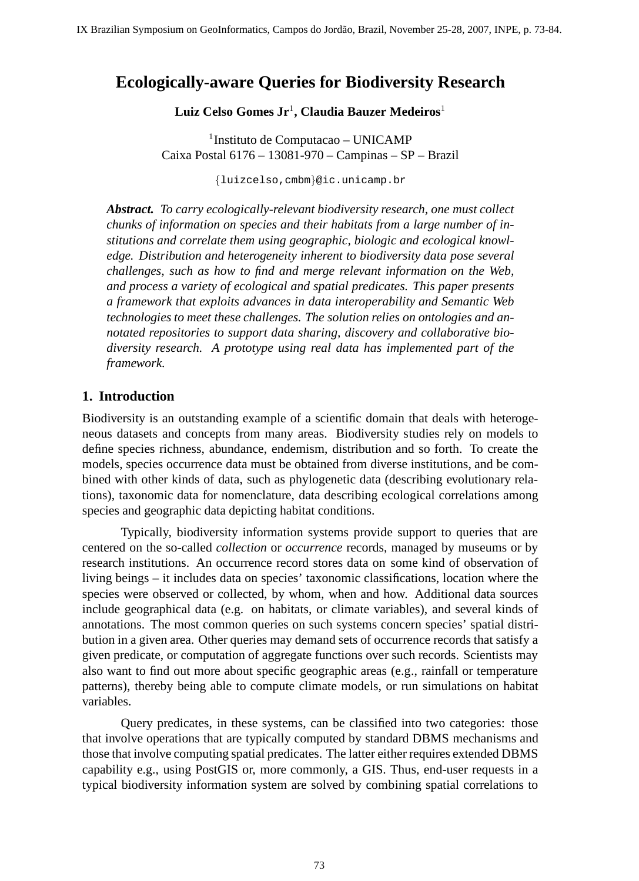# **Ecologically-aware Queries for Biodiversity Research**

**Luiz Celso Gomes Jr**<sup>1</sup> **, Claudia Bauzer Medeiros**<sup>1</sup>

1 Instituto de Computacao – UNICAMP Caixa Postal 6176 – 13081-970 – Campinas – SP – Brazil

{luizcelso,cmbm}@ic.unicamp.br

*Abstract. To carry ecologically-relevant biodiversity research, one must collect chunks of information on species and their habitats from a large number of institutions and correlate them using geographic, biologic and ecological knowledge. Distribution and heterogeneity inherent to biodiversity data pose several challenges, such as how to find and merge relevant information on the Web, and process a variety of ecological and spatial predicates. This paper presents a framework that exploits advances in data interoperability and Semantic Web technologies to meet these challenges. The solution relies on ontologies and annotated repositories to support data sharing, discovery and collaborative biodiversity research. A prototype using real data has implemented part of the framework.*

## **1. Introduction**

Biodiversity is an outstanding example of a scientific domain that deals with heterogeneous datasets and concepts from many areas. Biodiversity studies rely on models to define species richness, abundance, endemism, distribution and so forth. To create the models, species occurrence data must be obtained from diverse institutions, and be combined with other kinds of data, such as phylogenetic data (describing evolutionary relations), taxonomic data for nomenclature, data describing ecological correlations among species and geographic data depicting habitat conditions.

Typically, biodiversity information systems provide support to queries that are centered on the so-called *collection* or *occurrence* records, managed by museums or by research institutions. An occurrence record stores data on some kind of observation of living beings – it includes data on species' taxonomic classifications, location where the species were observed or collected, by whom, when and how. Additional data sources include geographical data (e.g. on habitats, or climate variables), and several kinds of annotations. The most common queries on such systems concern species' spatial distribution in a given area. Other queries may demand sets of occurrence records that satisfy a given predicate, or computation of aggregate functions over such records. Scientists may also want to find out more about specific geographic areas (e.g., rainfall or temperature patterns), thereby being able to compute climate models, or run simulations on habitat variables.

Query predicates, in these systems, can be classified into two categories: those that involve operations that are typically computed by standard DBMS mechanisms and those that involve computing spatial predicates. The latter either requires extended DBMS capability e.g., using PostGIS or, more commonly, a GIS. Thus, end-user requests in a typical biodiversity information system are solved by combining spatial correlations to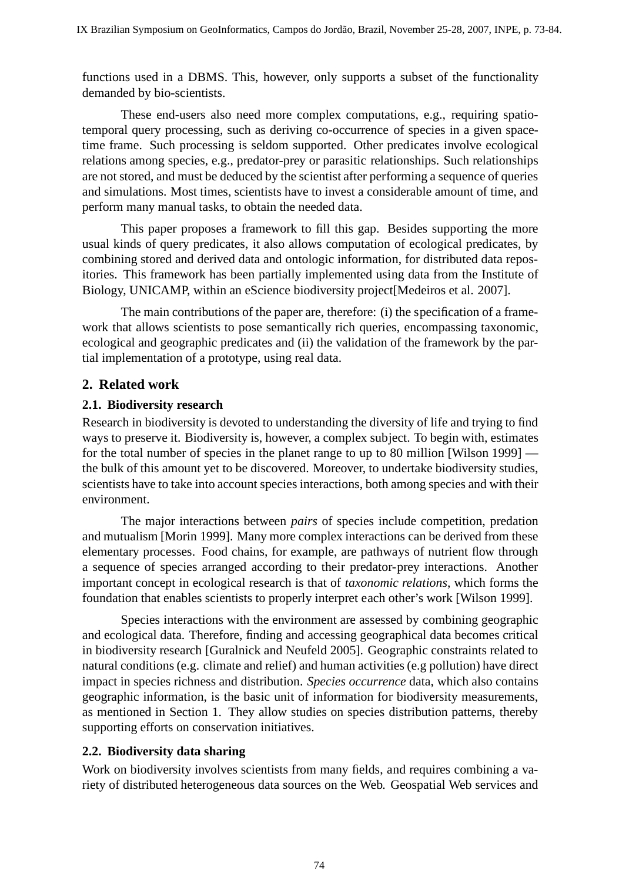functions used in a DBMS. This, however, only supports a subset of the functionality demanded by bio-scientists.

These end-users also need more complex computations, e.g., requiring spatiotemporal query processing, such as deriving co-occurrence of species in a given spacetime frame. Such processing is seldom supported. Other predicates involve ecological relations among species, e.g., predator-prey or parasitic relationships. Such relationships are not stored, and must be deduced by the scientist after performing a sequence of queries and simulations. Most times, scientists have to invest a considerable amount of time, and perform many manual tasks, to obtain the needed data.

This paper proposes a framework to fill this gap. Besides supporting the more usual kinds of query predicates, it also allows computation of ecological predicates, by combining stored and derived data and ontologic information, for distributed data repositories. This framework has been partially implemented using data from the Institute of Biology, UNICAMP, within an eScience biodiversity project[Medeiros et al. 2007].

The main contributions of the paper are, therefore: (i) the specification of a framework that allows scientists to pose semantically rich queries, encompassing taxonomic, ecological and geographic predicates and (ii) the validation of the framework by the partial implementation of a prototype, using real data.

# **2. Related work**

### **2.1. Biodiversity research**

Research in biodiversity is devoted to understanding the diversity of life and trying to find ways to preserve it. Biodiversity is, however, a complex subject. To begin with, estimates for the total number of species in the planet range to up to 80 million [Wilson 1999] the bulk of this amount yet to be discovered. Moreover, to undertake biodiversity studies, scientists have to take into account species interactions, both among species and with their environment.

The major interactions between *pairs* of species include competition, predation and mutualism [Morin 1999]. Many more complex interactions can be derived from these elementary processes. Food chains, for example, are pathways of nutrient flow through a sequence of species arranged according to their predator-prey interactions. Another important concept in ecological research is that of *taxonomic relations*, which forms the foundation that enables scientists to properly interpret each other's work [Wilson 1999].

Species interactions with the environment are assessed by combining geographic and ecological data. Therefore, finding and accessing geographical data becomes critical in biodiversity research [Guralnick and Neufeld 2005]. Geographic constraints related to natural conditions (e.g. climate and relief) and human activities (e.g pollution) have direct impact in species richness and distribution. *Species occurrence* data, which also contains geographic information, is the basic unit of information for biodiversity measurements, as mentioned in Section 1. They allow studies on species distribution patterns, thereby supporting efforts on conservation initiatives.

## **2.2. Biodiversity data sharing**

Work on biodiversity involves scientists from many fields, and requires combining a variety of distributed heterogeneous data sources on the Web. Geospatial Web services and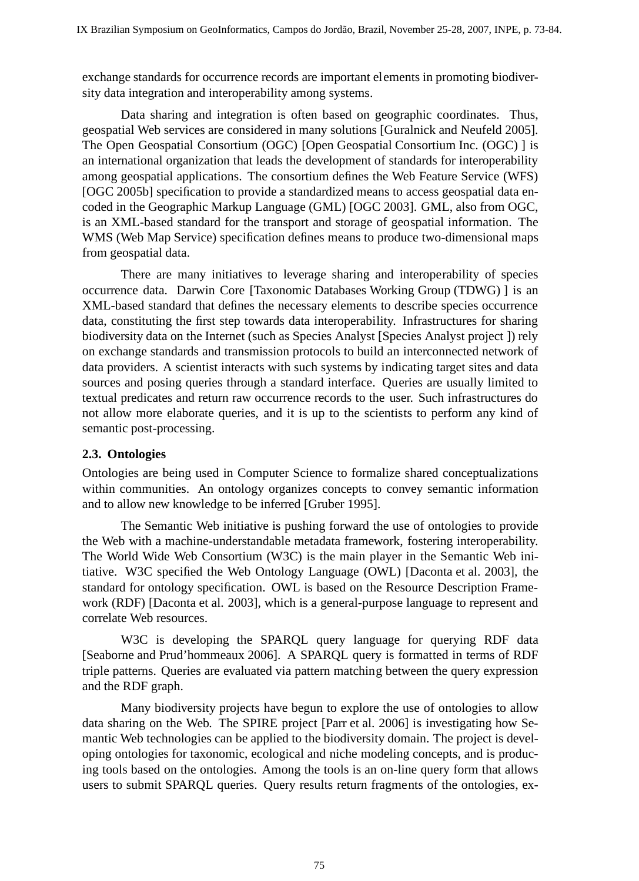exchange standards for occurrence records are important elements in promoting biodiversity data integration and interoperability among systems.

Data sharing and integration is often based on geographic coordinates. Thus, geospatial Web services are considered in many solutions [Guralnick and Neufeld 2005]. The Open Geospatial Consortium (OGC) [Open Geospatial Consortium Inc. (OGC) ] is an international organization that leads the development of standards for interoperability among geospatial applications. The consortium defines the Web Feature Service (WFS) [OGC 2005b] specification to provide a standardized means to access geospatial data encoded in the Geographic Markup Language (GML) [OGC 2003]. GML, also from OGC, is an XML-based standard for the transport and storage of geospatial information. The WMS (Web Map Service) specification defines means to produce two-dimensional maps from geospatial data.

There are many initiatives to leverage sharing and interoperability of species occurrence data. Darwin Core [Taxonomic Databases Working Group (TDWG) ] is an XML-based standard that defines the necessary elements to describe species occurrence data, constituting the first step towards data interoperability. Infrastructures for sharing biodiversity data on the Internet (such as Species Analyst [Species Analyst project ]) rely on exchange standards and transmission protocols to build an interconnected network of data providers. A scientist interacts with such systems by indicating target sites and data sources and posing queries through a standard interface. Queries are usually limited to textual predicates and return raw occurrence records to the user. Such infrastructures do not allow more elaborate queries, and it is up to the scientists to perform any kind of semantic post-processing.

#### **2.3. Ontologies**

Ontologies are being used in Computer Science to formalize shared conceptualizations within communities. An ontology organizes concepts to convey semantic information and to allow new knowledge to be inferred [Gruber 1995].

The Semantic Web initiative is pushing forward the use of ontologies to provide the Web with a machine-understandable metadata framework, fostering interoperability. The World Wide Web Consortium (W3C) is the main player in the Semantic Web initiative. W3C specified the Web Ontology Language (OWL) [Daconta et al. 2003], the standard for ontology specification. OWL is based on the Resource Description Framework (RDF) [Daconta et al. 2003], which is a general-purpose language to represent and correlate Web resources.

W3C is developing the SPARQL query language for querying RDF data [Seaborne and Prud'hommeaux 2006]. A SPARQL query is formatted in terms of RDF triple patterns. Queries are evaluated via pattern matching between the query expression and the RDF graph.

Many biodiversity projects have begun to explore the use of ontologies to allow data sharing on the Web. The SPIRE project [Parr et al. 2006] is investigating how Semantic Web technologies can be applied to the biodiversity domain. The project is developing ontologies for taxonomic, ecological and niche modeling concepts, and is producing tools based on the ontologies. Among the tools is an on-line query form that allows users to submit SPARQL queries. Query results return fragments of the ontologies, ex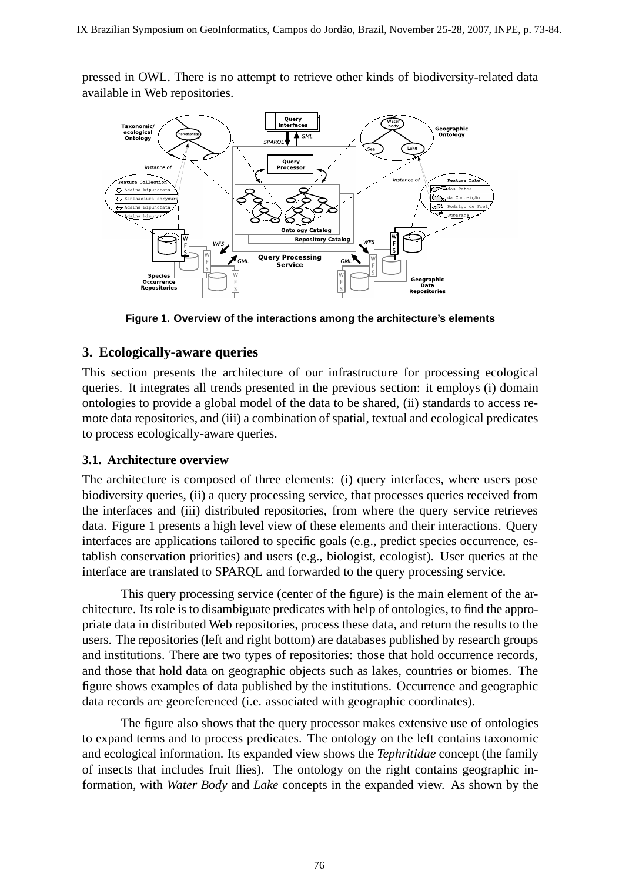pressed in OWL. There is no attempt to retrieve other kinds of biodiversity-related data available in Web repositories.



**Figure 1. Overview of the interactions among the architecture's elements**

# **3. Ecologically-aware queries**

This section presents the architecture of our infrastructure for processing ecological queries. It integrates all trends presented in the previous section: it employs (i) domain ontologies to provide a global model of the data to be shared, (ii) standards to access remote data repositories, and (iii) a combination of spatial, textual and ecological predicates to process ecologically-aware queries.

## **3.1. Architecture overview**

The architecture is composed of three elements: (i) query interfaces, where users pose biodiversity queries, (ii) a query processing service, that processes queries received from the interfaces and (iii) distributed repositories, from where the query service retrieves data. Figure 1 presents a high level view of these elements and their interactions. Query interfaces are applications tailored to specific goals (e.g., predict species occurrence, establish conservation priorities) and users (e.g., biologist, ecologist). User queries at the interface are translated to SPARQL and forwarded to the query processing service.

This query processing service (center of the figure) is the main element of the architecture. Its role is to disambiguate predicates with help of ontologies, to find the appropriate data in distributed Web repositories, process these data, and return the results to the users. The repositories (left and right bottom) are databases published by research groups and institutions. There are two types of repositories: those that hold occurrence records, and those that hold data on geographic objects such as lakes, countries or biomes. The figure shows examples of data published by the institutions. Occurrence and geographic data records are georeferenced (i.e. associated with geographic coordinates).

The figure also shows that the query processor makes extensive use of ontologies to expand terms and to process predicates. The ontology on the left contains taxonomic and ecological information. Its expanded view shows the *Tephritidae* concept (the family of insects that includes fruit flies). The ontology on the right contains geographic information, with *Water Body* and *Lake* concepts in the expanded view. As shown by the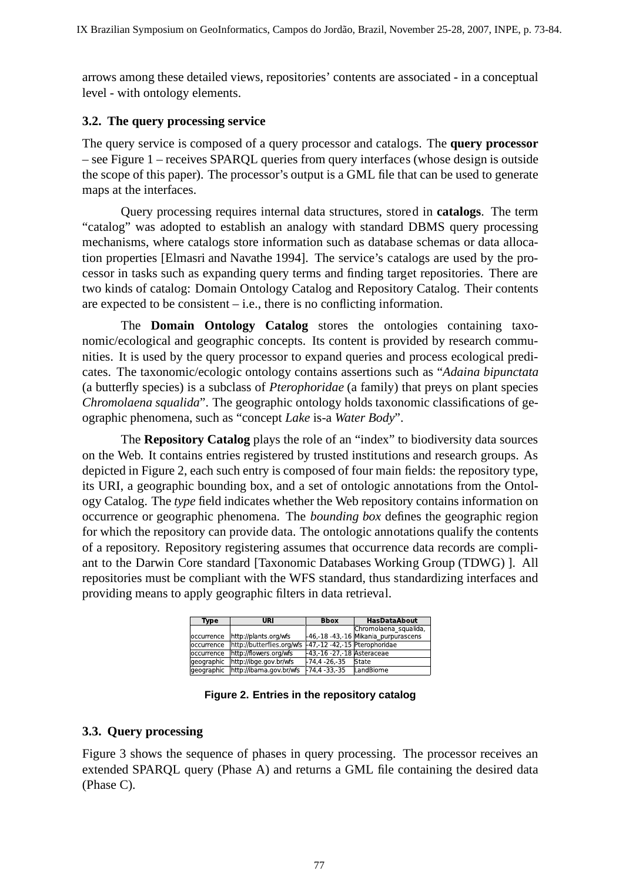arrows among these detailed views, repositories' contents are associated - in a conceptual level - with ontology elements.

#### **3.2. The query processing service**

The query service is composed of a query processor and catalogs. The **query processor** – see Figure 1 – receives SPARQL queries from query interfaces (whose design is outside the scope of this paper). The processor's output is a GML file that can be used to generate maps at the interfaces.

Query processing requires internal data structures, stored in **catalogs**. The term "catalog" was adopted to establish an analogy with standard DBMS query processing mechanisms, where catalogs store information such as database schemas or data allocation properties [Elmasri and Navathe 1994]. The service's catalogs are used by the processor in tasks such as expanding query terms and finding target repositories. There are two kinds of catalog: Domain Ontology Catalog and Repository Catalog. Their contents are expected to be consistent – i.e., there is no conflicting information.

The **Domain Ontology Catalog** stores the ontologies containing taxonomic/ecological and geographic concepts. Its content is provided by research communities. It is used by the query processor to expand queries and process ecological predicates. The taxonomic/ecologic ontology contains assertions such as "*Adaina bipunctata* (a butterfly species) is a subclass of *Pterophoridae* (a family) that preys on plant species *Chromolaena squalida*". The geographic ontology holds taxonomic classifications of geographic phenomena, such as "concept *Lake* is-a *Water Body*".

The **Repository Catalog** plays the role of an "index" to biodiversity data sources on the Web. It contains entries registered by trusted institutions and research groups. As depicted in Figure 2, each such entry is composed of four main fields: the repository type, its URI, a geographic bounding box, and a set of ontologic annotations from the Ontology Catalog. The *type* field indicates whether the Web repository contains information on occurrence or geographic phenomena. The *bounding box* defines the geographic region for which the repository can provide data. The ontologic annotations qualify the contents of a repository. Repository registering assumes that occurrence data records are compliant to the Darwin Core standard [Taxonomic Databases Working Group (TDWG) ]. All repositories must be compliant with the WFS standard, thus standardizing interfaces and providing means to apply geographic filters in data retrieval.

| <b>Type</b> | URI                                                      | <b>Bbox</b>                   | <b>HasDataAbout</b>                  |
|-------------|----------------------------------------------------------|-------------------------------|--------------------------------------|
|             |                                                          |                               | Chromolaena_squalida,                |
| loccurrence | http://plants.org/wfs                                    |                               | 46, 18 - 43, 16 Mikania purpurascens |
| loccurrence | http://butterflies.org/wfs -47, 12 -42, 15 Pterophoridae |                               |                                      |
| loccurrence | http://flowers.org/wfs                                   | $-43, 16 - 27, 18$ Asteraceae |                                      |
| geographic  | http://ibge.gov.br/wfs                                   | $174.4$ 26.35                 | State                                |
| geographic  | http://ibama.gov.br/wfs                                  | $174.4$ 33.35                 | LandBiome                            |

**Figure 2. Entries in the repository catalog**

## **3.3. Query processing**

Figure 3 shows the sequence of phases in query processing. The processor receives an extended SPARQL query (Phase A) and returns a GML file containing the desired data (Phase C).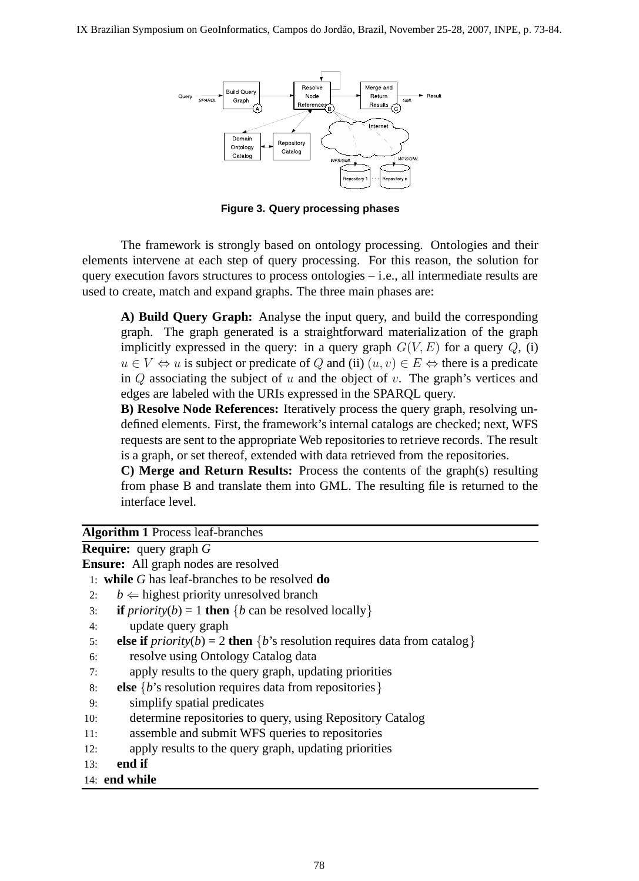

**Figure 3. Query processing phases**

The framework is strongly based on ontology processing. Ontologies and their elements intervene at each step of query processing. For this reason, the solution for query execution favors structures to process ontologies  $-$  i.e., all intermediate results are used to create, match and expand graphs. The three main phases are:

**A) Build Query Graph:** Analyse the input query, and build the corresponding graph. The graph generated is a straightforward materialization of the graph implicitly expressed in the query: in a query graph  $G(V, E)$  for a query  $Q$ , (i)  $u \in V \Leftrightarrow u$  is subject or predicate of Q and (ii)  $(u, v) \in E \Leftrightarrow$  there is a predicate in  $Q$  associating the subject of  $u$  and the object of  $v$ . The graph's vertices and edges are labeled with the URIs expressed in the SPARQL query.

**B) Resolve Node References:** Iteratively process the query graph, resolving undefined elements. First, the framework's internal catalogs are checked; next, WFS requests are sent to the appropriate Web repositories to retrieve records. The result is a graph, or set thereof, extended with data retrieved from the repositories.

**C) Merge and Return Results:** Process the contents of the graph(s) resulting from phase B and translate them into GML. The resulting file is returned to the interface level.

**Algorithm 1** Process leaf-branches

| Algulium 1 1 locess ieal-branches |                                                                                                   |  |
|-----------------------------------|---------------------------------------------------------------------------------------------------|--|
|                                   | <b>Require:</b> query graph $G$                                                                   |  |
|                                   | <b>Ensure:</b> All graph nodes are resolved                                                       |  |
|                                   | 1: while $G$ has leaf-branches to be resolved $do$                                                |  |
| 2:                                | $b \leftarrow$ highest priority unresolved branch                                                 |  |
| 3:                                | <b>if</b> <i>priority</i> ( <i>b</i> ) = 1 <b>then</b> { <i>b</i> can be resolved locally}        |  |
| 4:                                | update query graph                                                                                |  |
| 5:                                | <b>else if</b> $priority(b) = 2$ <b>then</b> { <i>b</i> 's resolution requires data from catalog} |  |
| 6:                                | resolve using Ontology Catalog data                                                               |  |
| 7:                                | apply results to the query graph, updating priorities                                             |  |
| 8:                                | <b>else</b> { <i>b</i> 's resolution requires data from repositories}                             |  |
| 9:                                | simplify spatial predicates                                                                       |  |
| 10:                               | determine repositories to query, using Repository Catalog                                         |  |
| 11:                               | assemble and submit WFS queries to repositories                                                   |  |
| 12:                               | apply results to the query graph, updating priorities                                             |  |

13: **end if**

#### 14: **end while**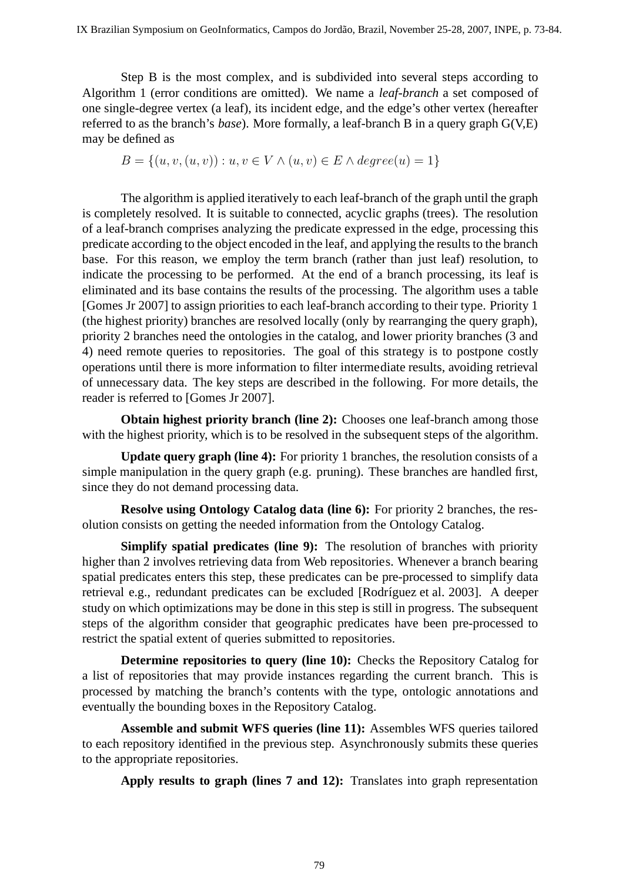Step B is the most complex, and is subdivided into several steps according to Algorithm 1 (error conditions are omitted). We name a *leaf-branch* a set composed of one single-degree vertex (a leaf), its incident edge, and the edge's other vertex (hereafter referred to as the branch's *base*). More formally, a leaf-branch B in a query graph G(V,E) may be defined as

$$
B = \{(u, v, (u, v)) : u, v \in V \land (u, v) \in E \land degree(u) = 1\}
$$

The algorithm is applied iteratively to each leaf-branch of the graph until the graph is completely resolved. It is suitable to connected, acyclic graphs (trees). The resolution of a leaf-branch comprises analyzing the predicate expressed in the edge, processing this predicate according to the object encoded in the leaf, and applying the results to the branch base. For this reason, we employ the term branch (rather than just leaf) resolution, to indicate the processing to be performed. At the end of a branch processing, its leaf is eliminated and its base contains the results of the processing. The algorithm uses a table [Gomes Jr 2007] to assign priorities to each leaf-branch according to their type. Priority 1 (the highest priority) branches are resolved locally (only by rearranging the query graph), priority 2 branches need the ontologies in the catalog, and lower priority branches (3 and 4) need remote queries to repositories. The goal of this strategy is to postpone costly operations until there is more information to filter intermediate results, avoiding retrieval of unnecessary data. The key steps are described in the following. For more details, the reader is referred to [Gomes Jr 2007].

**Obtain highest priority branch (line 2):** Chooses one leaf-branch among those with the highest priority, which is to be resolved in the subsequent steps of the algorithm.

**Update query graph (line 4):** For priority 1 branches, the resolution consists of a simple manipulation in the query graph (e.g. pruning). These branches are handled first, since they do not demand processing data.

**Resolve using Ontology Catalog data (line 6):** For priority 2 branches, the resolution consists on getting the needed information from the Ontology Catalog.

**Simplify spatial predicates (line 9):** The resolution of branches with priority higher than 2 involves retrieving data from Web repositories. Whenever a branch bearing spatial predicates enters this step, these predicates can be pre-processed to simplify data retrieval e.g., redundant predicates can be excluded [Rodríguez et al. 2003]. A deeper study on which optimizations may be done in this step is still in progress. The subsequent steps of the algorithm consider that geographic predicates have been pre-processed to restrict the spatial extent of queries submitted to repositories.

**Determine repositories to query (line 10):** Checks the Repository Catalog for a list of repositories that may provide instances regarding the current branch. This is processed by matching the branch's contents with the type, ontologic annotations and eventually the bounding boxes in the Repository Catalog.

**Assemble and submit WFS queries (line 11):** Assembles WFS queries tailored to each repository identified in the previous step. Asynchronously submits these queries to the appropriate repositories.

**Apply results to graph (lines 7 and 12):** Translates into graph representation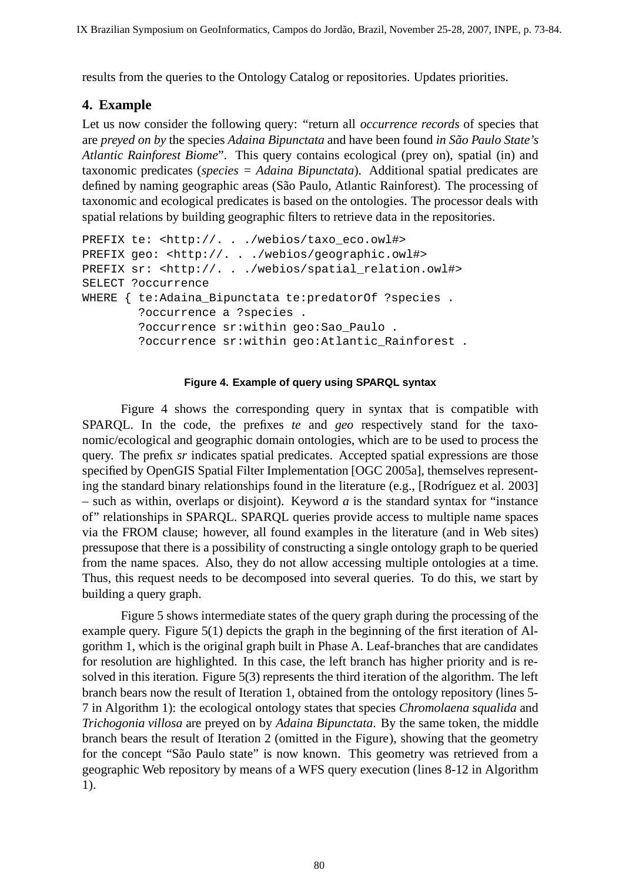results from the queries to the Ontology Catalog or repositories. Updates priorities.

### **4. Example**

Let us now consider the following query: "return all *occurrence records* of species that are *preyed on by* the species *Adaina Bipunctata* and have been found *in Sao Paulo State's ˜ Atlantic Rainforest Biome*". This query contains ecological (prey on), spatial (in) and taxonomic predicates (*species = Adaina Bipunctata*). Additional spatial predicates are defined by naming geographic areas (São Paulo, Atlantic Rainforest). The processing of taxonomic and ecological predicates is based on the ontologies. The processor deals with spatial relations by building geographic filters to retrieve data in the repositories.

```
PREFIX te: <http://. . ./webios/taxo_eco.owl#>
PREFIX geo: <http://. . ./webios/geographic.owl#>
PREFIX sr: <http://. . ./webios/spatial_relation.owl#>
SELECT ?occurrence
WHERE { te:Adaina_Bipunctata te:predatorOf ?species .
        ?occurrence a ?species .
        ?occurrence sr:within geo:Sao_Paulo .
        ?occurrence sr:within geo:Atlantic_Rainforest .
```
#### **Figure 4. Example of query using SPARQL syntax**

Figure 4 shows the corresponding query in syntax that is compatible with SPARQL. In the code, the prefixes *te* and *geo* respectively stand for the taxonomic/ecological and geographic domain ontologies, which are to be used to process the query. The prefix *sr* indicates spatial predicates. Accepted spatial expressions are those specified by OpenGIS Spatial Filter Implementation [OGC 2005a], themselves representing the standard binary relationships found in the literature (e.g., [Rodríguez et al. 2003] – such as within, overlaps or disjoint). Keyword *a* is the standard syntax for "instance of" relationships in SPARQL. SPARQL queries provide access to multiple name spaces via the FROM clause; however, all found examples in the literature (and in Web sites) pressupose that there is a possibility of constructing a single ontology graph to be queried from the name spaces. Also, they do not allow accessing multiple ontologies at a time. Thus, this request needs to be decomposed into several queries. To do this, we start by building a query graph.

Figure 5 shows intermediate states of the query graph during the processing of the example query. Figure 5(1) depicts the graph in the beginning of the first iteration of Algorithm 1, which is the original graph built in Phase A. Leaf-branches that are candidates for resolution are highlighted. In this case, the left branch has higher priority and is resolved in this iteration. Figure 5(3) represents the third iteration of the algorithm. The left branch bears now the result of Iteration 1, obtained from the ontology repository (lines 5- 7 in Algorithm 1): the ecological ontology states that species *Chromolaena squalida* and *Trichogonia villosa* are preyed on by *Adaina Bipunctata*. By the same token, the middle branch bears the result of Iteration 2 (omitted in the Figure), showing that the geometry for the concept "São Paulo state" is now known. This geometry was retrieved from a geographic Web repository by means of a WFS query execution (lines 8-12 in Algorithm 1).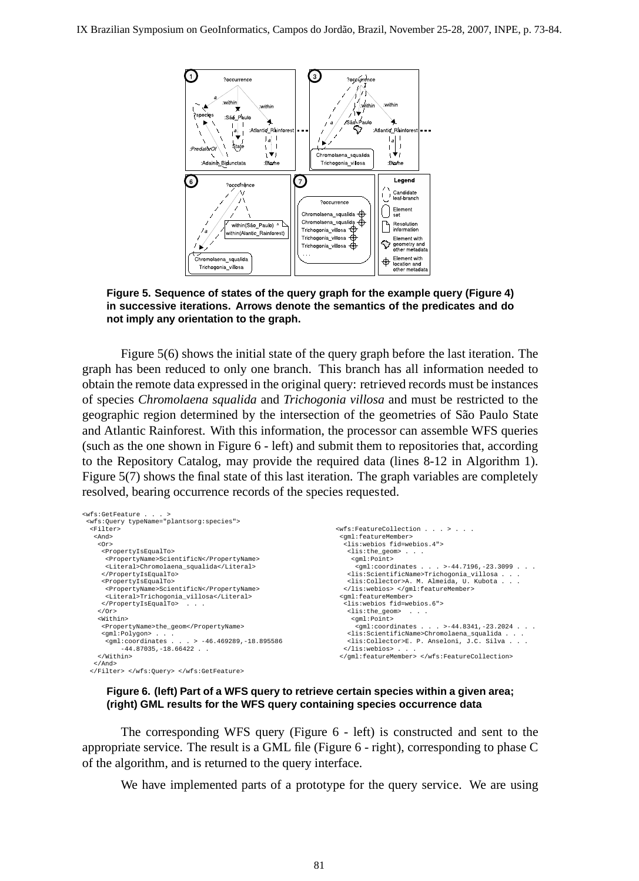

**Figure 5. Sequence of states of the query graph for the example query (Figure 4) in successive iterations. Arrows denote the semantics of the predicates and do not imply any orientation to the graph.**

Figure 5(6) shows the initial state of the query graph before the last iteration. The graph has been reduced to only one branch. This branch has all information needed to obtain the remote data expressed in the original query: retrieved records must be instances of species *Chromolaena squalida* and *Trichogonia villosa* and must be restricted to the geographic region determined by the intersection of the geometries of S˜ao Paulo State and Atlantic Rainforest. With this information, the processor can assemble WFS queries (such as the one shown in Figure 6 - left) and submit them to repositories that, according to the Repository Catalog, may provide the required data (lines 8-12 in Algorithm 1). Figure 5(7) shows the final state of this last iteration. The graph variables are completely resolved, bearing occurrence records of the species requested.

```
<wfs:GetFeature . . . >
<wfs:Query typeName="plantsorg:species">
 <Filter>
  <And>
    <Or>
     <PropertyIsEqualTo>
      <PropertyName>ScientificN</PropertyName>
      <Literal>Chromolaena_squalida</Literal>
     </PropertyIsEqualTo>
     <PropertyIsEqualTo>
      <PropertyName>ScientificN</PropertyName>
      <Literal>Trichogonia_villosa</Literal>
     \alpha /PropertyIsEqualTo ></Or>
    <Within>
     <PropertyName>the_geom</PropertyName>
     <gml:Polygon> . . .
<gml:coordinates . . . > -46.469289,-18.895586
           -44.87035, -18.66422 . .
    </Within>
   </And>
 </Filter> </wfs:Query> </wfs:GetFeature>
                                                                          <wfs:FeatureCollection . . . > . . .
                                                                           <gml:featureMember>
                                                                            <lis:webios fid=webios.4">
                                                                             <lis:the_geom> . . .
                                                                              <gml:Point>
                                                                                                      . >-44.7196, -23.3099 . . .
                                                                             ....<br><lis:ScientificName>Trichogonia_villosa . . .<br><lis:Collector>A. M. Almeida, U. Kubota . . .
                                                                             xiis: Collector>A. M. Almeida,
                                                                            </lis:webios> </gml:featureMember>
                                                                           <gml:featureMember>
                                                                            <lis:webios fid=webios.6">
                                                                             <lis:the_geom> . . .
                                                                              <gml:Point><br><qml:coordinates .
                                                                                                      . >-44.8341,-23.2024 . .
                                                                             <lis:ScientificName>Chromolaena_squalida . . .
                                                                             <lis:Collector>E. P. Anseloni, J.C. Silva
                                                                            </lis:webios> . . .
                                                                           </gml:featureMember> </wfs:FeatureCollection>
```
#### **Figure 6. (left) Part of a WFS query to retrieve certain species within a given area; (right) GML results for the WFS query containing species occurrence data**

The corresponding WFS query (Figure 6 - left) is constructed and sent to the appropriate service. The result is a GML file (Figure 6 - right), corresponding to phase C of the algorithm, and is returned to the query interface.

We have implemented parts of a prototype for the query service. We are using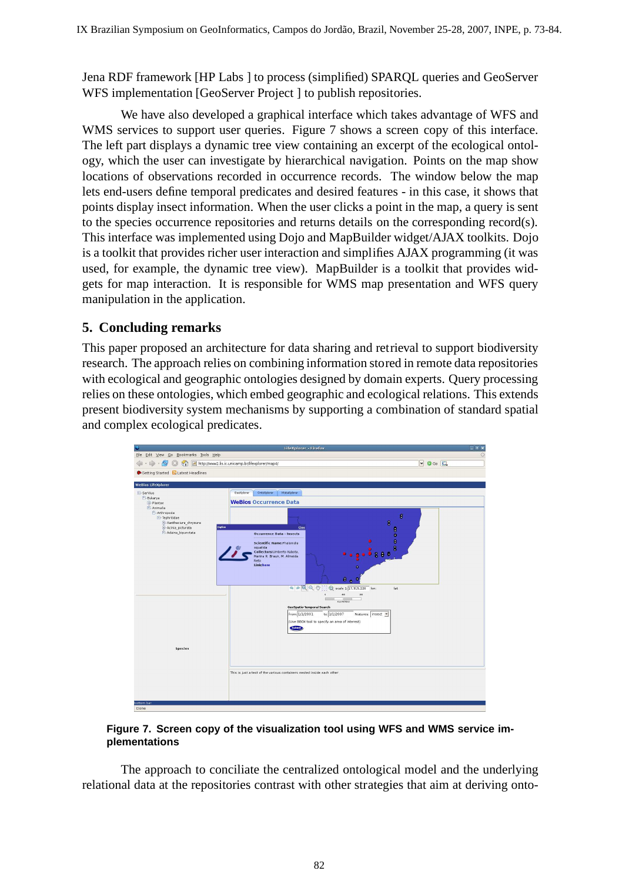Jena RDF framework [HP Labs ] to process (simplified) SPARQL queries and GeoServer WFS implementation [GeoServer Project ] to publish repositories.

We have also developed a graphical interface which takes advantage of WFS and WMS services to support user queries. Figure 7 shows a screen copy of this interface. The left part displays a dynamic tree view containing an excerpt of the ecological ontology, which the user can investigate by hierarchical navigation. Points on the map show locations of observations recorded in occurrence records. The window below the map lets end-users define temporal predicates and desired features - in this case, it shows that points display insect information. When the user clicks a point in the map, a query is sent to the species occurrence repositories and returns details on the corresponding record(s). This interface was implemented using Dojo and MapBuilder widget/AJAX toolkits. Dojo is a toolkit that provides richer user interaction and simplifies AJAX programming (it was used, for example, the dynamic tree view). MapBuilder is a toolkit that provides widgets for map interaction. It is responsible for WMS map presentation and WFS query manipulation in the application.

# **5. Concluding remarks**

This paper proposed an architecture for data sharing and retrieval to support biodiversity research. The approach relies on combining information stored in remote data repositories with ecological and geographic ontologies designed by domain experts. Query processing relies on these ontologies, which embed geographic and ecological relations. This extends present biodiversity system mechanisms by supporting a combination of standard spatial and complex ecological predicates.



#### **Figure 7. Screen copy of the visualization tool using WFS and WMS service implementations**

The approach to conciliate the centralized ontological model and the underlying relational data at the repositories contrast with other strategies that aim at deriving onto-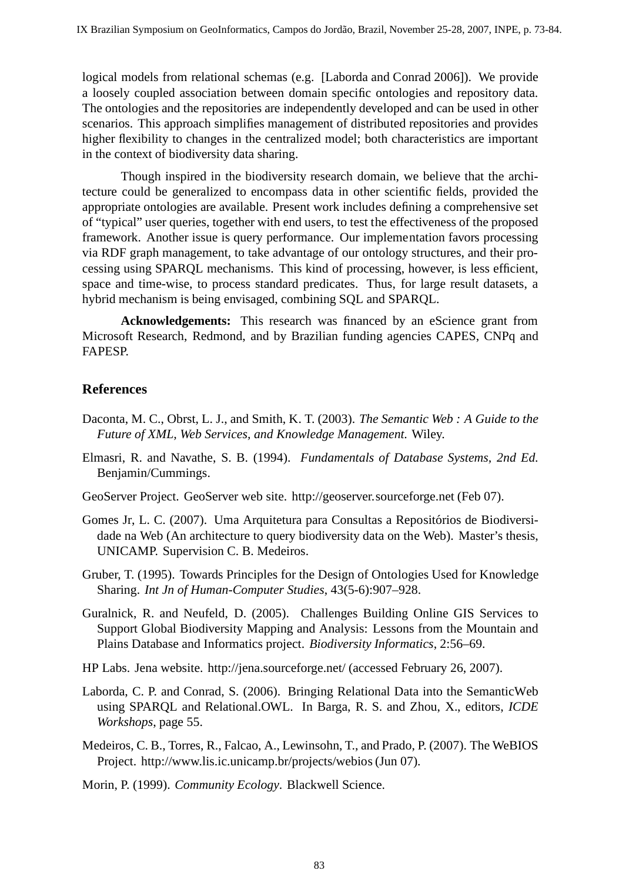logical models from relational schemas (e.g. [Laborda and Conrad 2006]). We provide a loosely coupled association between domain specific ontologies and repository data. The ontologies and the repositories are independently developed and can be used in other scenarios. This approach simplifies management of distributed repositories and provides higher flexibility to changes in the centralized model; both characteristics are important in the context of biodiversity data sharing.

Though inspired in the biodiversity research domain, we believe that the architecture could be generalized to encompass data in other scientific fields, provided the appropriate ontologies are available. Present work includes defining a comprehensive set of "typical" user queries, together with end users, to test the effectiveness of the proposed framework. Another issue is query performance. Our implementation favors processing via RDF graph management, to take advantage of our ontology structures, and their processing using SPARQL mechanisms. This kind of processing, however, is less efficient, space and time-wise, to process standard predicates. Thus, for large result datasets, a hybrid mechanism is being envisaged, combining SQL and SPARQL.

**Acknowledgements:** This research was financed by an eScience grant from Microsoft Research, Redmond, and by Brazilian funding agencies CAPES, CNPq and FAPESP.

### **References**

- Daconta, M. C., Obrst, L. J., and Smith, K. T. (2003). *The Semantic Web : A Guide to the Future of XML, Web Services, and Knowledge Management*. Wiley.
- Elmasri, R. and Navathe, S. B. (1994). *Fundamentals of Database Systems, 2nd Ed.* Benjamin/Cummings.
- GeoServer Project. GeoServer web site. http://geoserver.sourceforge.net (Feb 07).
- Gomes Jr, L. C. (2007). Uma Arquitetura para Consultas a Repositórios de Biodiversidade na Web (An architecture to query biodiversity data on the Web). Master's thesis, UNICAMP. Supervision C. B. Medeiros.
- Gruber, T. (1995). Towards Principles for the Design of Ontologies Used for Knowledge Sharing. *Int Jn of Human-Computer Studies*, 43(5-6):907–928.
- Guralnick, R. and Neufeld, D. (2005). Challenges Building Online GIS Services to Support Global Biodiversity Mapping and Analysis: Lessons from the Mountain and Plains Database and Informatics project. *Biodiversity Informatics*, 2:56–69.
- HP Labs. Jena website. http://jena.sourceforge.net/ (accessed February 26, 2007).
- Laborda, C. P. and Conrad, S. (2006). Bringing Relational Data into the SemanticWeb using SPARQL and Relational.OWL. In Barga, R. S. and Zhou, X., editors, *ICDE Workshops*, page 55.
- Medeiros, C. B., Torres, R., Falcao, A., Lewinsohn, T., and Prado, P. (2007). The WeBIOS Project. http://www.lis.ic.unicamp.br/projects/webios (Jun 07).

Morin, P. (1999). *Community Ecology*. Blackwell Science.